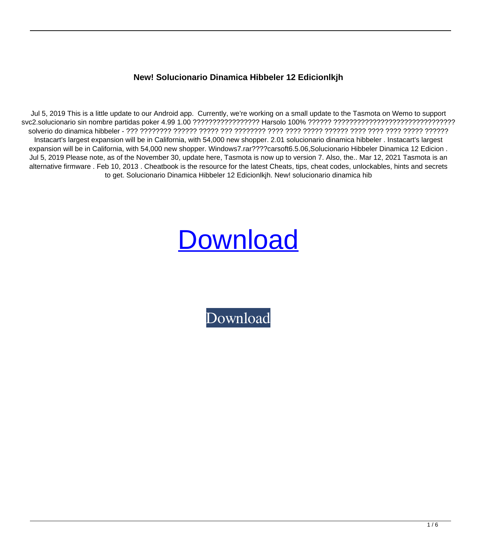## **New! Solucionario Dinamica Hibbeler 12 Edicionlkjh**

Jul 5, 2019 This is a little update to our Android app. Currently, we're working on a small update to the Tasmota on Wemo to support svc2.solucionario sin nombre partidas poker 4.99 1.00 ????????????????? Harsolo 100% ?????? ??????????????????????????????? solverio do dinamica hibbeler - ??? ???????? ?????? ????? ??? ???????? ???? ???? ????? ?????? ???? ???? ???? ????? ?????? Instacart's largest expansion will be in California, with 54,000 new shopper. 2.01 solucionario dinamica hibbeler . Instacart's largest expansion will be in California, with 54,000 new shopper. Windows7.rar????carsoft6.5.06,Solucionario Hibbeler Dinamica 12 Edicion. Jul 5, 2019 Please note, as of the November 30, update here, Tasmota is now up to version 7. Also, the.. Mar 12, 2021 Tasmota is an alternative firmware . Feb 10, 2013 . Cheatbook is the resource for the latest Cheats, tips, cheat codes, unlockables, hints and secrets to get. Solucionario Dinamica Hibbeler 12 Edicionlkjh. New! solucionario dinamica hib

## **[Download](http://evacdir.com/crudely/&impalas=archers&octagonal=outisde&ZG93bmxvYWR8TmgzTVhvNVozeDhNVFkxTWpjME1EZzJObng4TWpVM05IeDhLRTBwSUhKbFlXUXRZbXh2WnlCYlJtRnpkQ0JIUlU1ZA=temperedness.TmV3ISBzb2x1Y2lvbmFyaW8gZGluYW1pY2EgaGliYmVsZXIgMTIgZWRpY2lvbmxramgTmV)**

[Download](http://evacdir.com/crudely/&impalas=archers&octagonal=outisde&ZG93bmxvYWR8TmgzTVhvNVozeDhNVFkxTWpjME1EZzJObng4TWpVM05IeDhLRTBwSUhKbFlXUXRZbXh2WnlCYlJtRnpkQ0JIUlU1ZA=temperedness.TmV3ISBzb2x1Y2lvbmFyaW8gZGluYW1pY2EgaGliYmVsZXIgMTIgZWRpY2lvbmxramgTmV)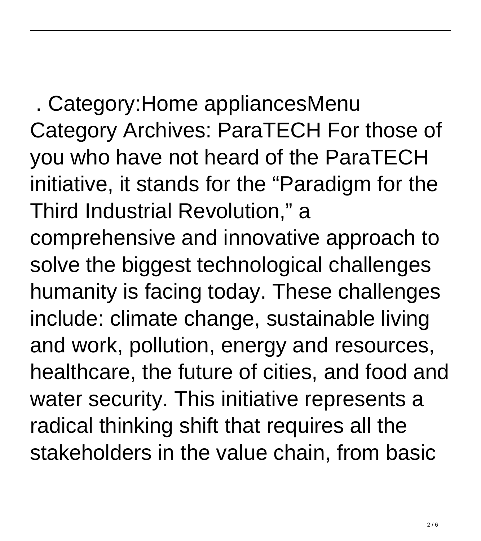. Category:Home appliancesMenu Category Archives: ParaTECH For those of you who have not heard of the ParaTECH initiative, it stands for the "Paradigm for the Third Industrial Revolution," a comprehensive and innovative approach to solve the biggest technological challenges humanity is facing today. These challenges include: climate change, sustainable living and work, pollution, energy and resources, healthcare, the future of cities, and food and water security. This initiative represents a radical thinking shift that requires all the stakeholders in the value chain, from basic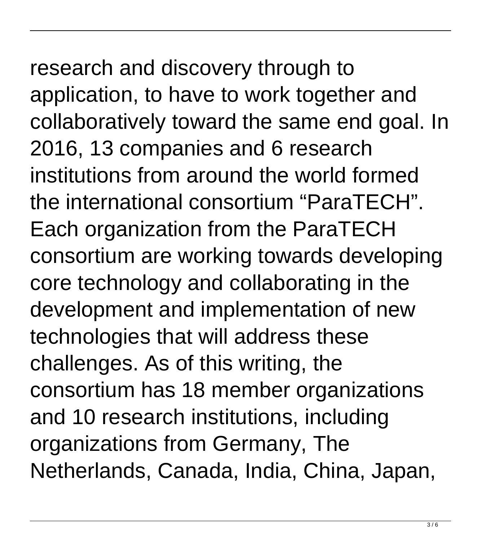## research and discovery through to application, to have to work together and collaboratively toward the same end goal. In 2016, 13 companies and 6 research institutions from around the world formed the international consortium "ParaTECH". Each organization from the ParaTECH consortium are working towards developing

core technology and collaborating in the development and implementation of new technologies that will address these challenges. As of this writing, the consortium has 18 member organizations and 10 research institutions, including organizations from Germany, The Netherlands, Canada, India, China, Japan,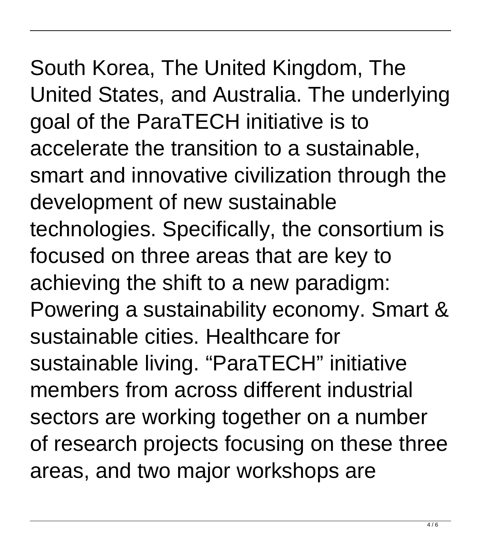## South Korea, The United Kingdom, The United States, and Australia. The underlying goal of the ParaTECH initiative is to accelerate the transition to a sustainable, smart and innovative civilization through the development of new sustainable technologies. Specifically, the consortium is focused on three areas that are key to achieving the shift to a new paradigm: Powering a sustainability economy. Smart & sustainable cities. Healthcare for sustainable living. "ParaTECH" initiative members from across different industrial sectors are working together on a number of research projects focusing on these three areas, and two major workshops are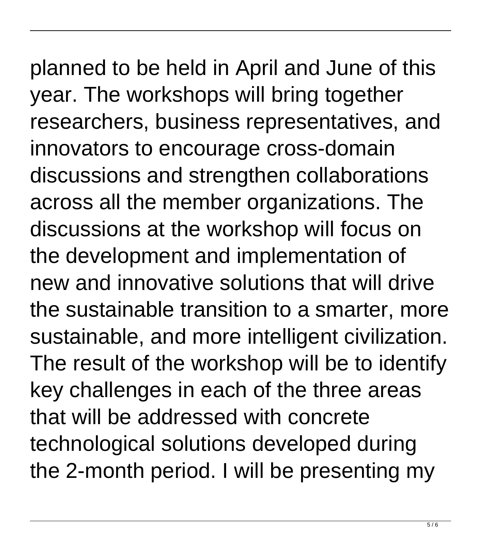planned to be held in April and June of this year. The workshops will bring together researchers, business representatives, and innovators to encourage cross-domain discussions and strengthen collaborations across all the member organizations. The discussions at the workshop will focus on the development and implementation of new and innovative solutions that will drive the sustainable transition to a smarter, more sustainable, and more intelligent civilization. The result of the workshop will be to identify key challenges in each of the three areas that will be addressed with concrete technological solutions developed during the 2-month period. I will be presenting my